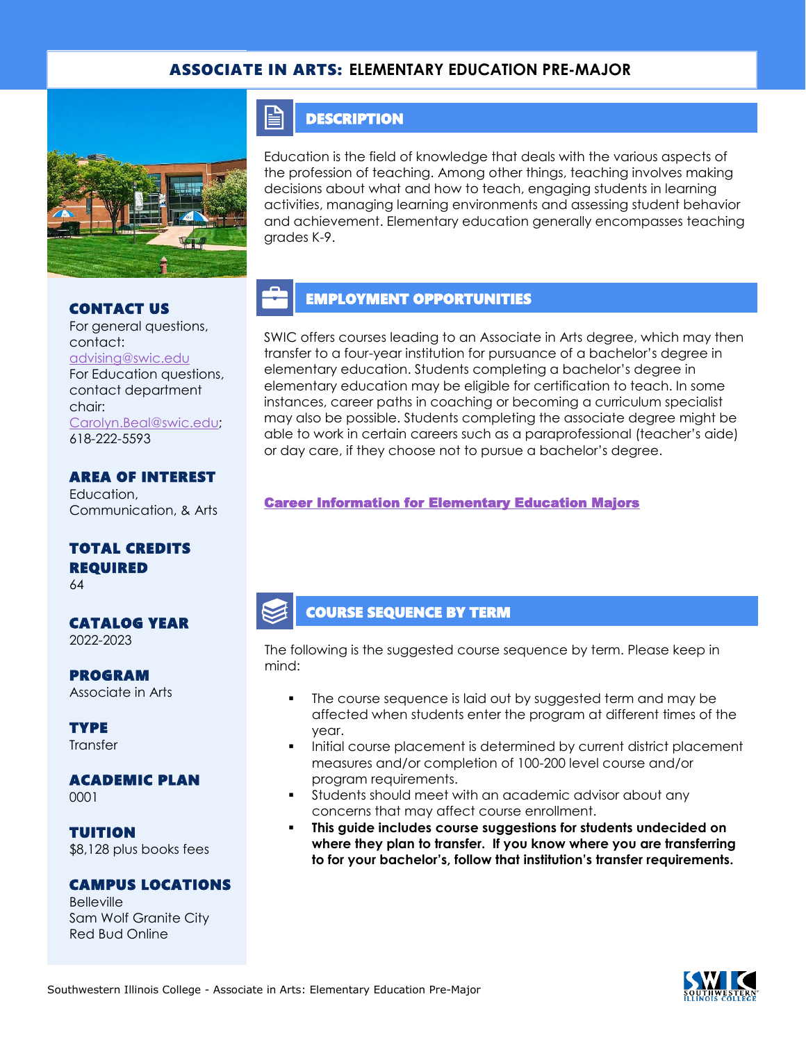### ASSOCIATE IN ARTS: **ELEMENTARY EDUCATION PRE-MAJOR**



CONTACT US

For general questions, contact: [advising@swic.edu](mailto:advising@swic.edu) For Education questions, contact department chair: [Carolyn.Beal@swic.edu;](mailto:Carolyn.Beal@swic.edu) 618-222-5593

AREA OF INTEREST Education, Communication, & Arts

## TOTAL CREDITS REQUIRED

64

#### CATALOG YEAR 2022-2023

PROGRAM

Associate in Arts

**TYPE Transfer** 

## ACADEMIC PLAN

0001

TUITION \$8,128 plus books fees

#### CAMPUS LOCATIONS

Belleville Sam Wolf Granite City Red Bud Online

## **DESCRIPTION**

FI

Education is the field of knowledge that deals with the various aspects of the profession of teaching. Among other things, teaching involves making decisions about what and how to teach, engaging students in learning activities, managing learning environments and assessing student behavior and achievement. Elementary education generally encompasses teaching grades K-9.

# EMPLOYMENT OPPORTUNITIES

SWIC offers courses leading to an Associate in Arts degree, which may then transfer to a four-year institution for pursuance of a bachelor's degree in elementary education. Students completing a bachelor's degree in elementary education may be eligible for certification to teach. In some instances, career paths in coaching or becoming a curriculum specialist may also be possible. Students completing the associate degree might be able to work in certain careers such as a paraprofessional (teacher's aide) or day care, if they choose not to pursue a bachelor's degree.

### [Career Information for Elementary Education Majors](https://www.isbe.net/)

## COURSE SEQUENCE BY TERM

The following is the suggested course sequence by term. Please keep in mind:

- The course sequence is laid out by suggested term and may be affected when students enter the program at different times of the year.
- Initial course placement is determined by current district placement measures and/or completion of 100-200 level course and/or program requirements.
- Students should meet with an academic advisor about any concerns that may affect course enrollment.
- **This guide includes course suggestions for students undecided on where they plan to transfer. If you know where you are transferring to for your bachelor's, follow that institution's transfer requirements.**